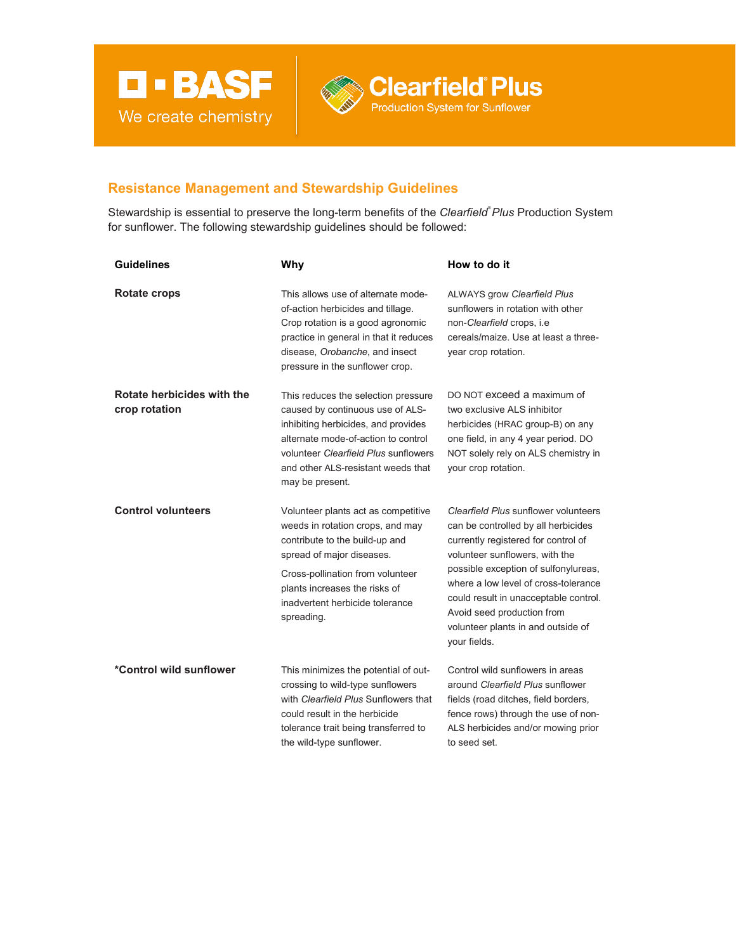



Stewardship is essential to preserve the long-term benefits of the *Clearfield® Plus* Production System for sunflower. The following stewardship guidelines should be followed:

**Clearfield Plus Production System for Sunflower** 

| <b>Guidelines</b>                           | Why                                                                                                                                                                                                                                                          | How to do it                                                                                                                                                                                                                                                                                                                                                      |
|---------------------------------------------|--------------------------------------------------------------------------------------------------------------------------------------------------------------------------------------------------------------------------------------------------------------|-------------------------------------------------------------------------------------------------------------------------------------------------------------------------------------------------------------------------------------------------------------------------------------------------------------------------------------------------------------------|
| Rotate crops                                | This allows use of alternate mode-<br>of-action herbicides and tillage.<br>Crop rotation is a good agronomic<br>practice in general in that it reduces<br>disease, Orobanche, and insect<br>pressure in the sunflower crop.                                  | ALWAYS grow Clearfield Plus<br>sunflowers in rotation with other<br>non-Clearfield crops, i.e.<br>cereals/maize. Use at least a three-<br>year crop rotation.                                                                                                                                                                                                     |
| Rotate herbicides with the<br>crop rotation | This reduces the selection pressure<br>caused by continuous use of ALS-<br>inhibiting herbicides, and provides<br>alternate mode-of-action to control<br>volunteer Clearfield Plus sunflowers<br>and other ALS-resistant weeds that<br>may be present.       | DO NOT exceed a maximum of<br>two exclusive ALS inhibitor<br>herbicides (HRAC group-B) on any<br>one field, in any 4 year period. DO<br>NOT solely rely on ALS chemistry in<br>your crop rotation.                                                                                                                                                                |
| <b>Control volunteers</b>                   | Volunteer plants act as competitive<br>weeds in rotation crops, and may<br>contribute to the build-up and<br>spread of major diseases.<br>Cross-pollination from volunteer<br>plants increases the risks of<br>inadvertent herbicide tolerance<br>spreading. | Clearfield Plus sunflower volunteers<br>can be controlled by all herbicides<br>currently registered for control of<br>volunteer sunflowers, with the<br>possible exception of sulfonylureas,<br>where a low level of cross-tolerance<br>could result in unacceptable control.<br>Avoid seed production from<br>volunteer plants in and outside of<br>your fields. |
| *Control wild sunflower                     | This minimizes the potential of out-<br>crossing to wild-type sunflowers<br>with Clearfield Plus Sunflowers that<br>could result in the herbicide<br>tolerance trait being transferred to<br>the wild-type sunflower.                                        | Control wild sunflowers in areas<br>around Clearfield Plus sunflower<br>fields (road ditches, field borders,<br>fence rows) through the use of non-<br>ALS herbicides and/or mowing prior<br>to seed set.                                                                                                                                                         |